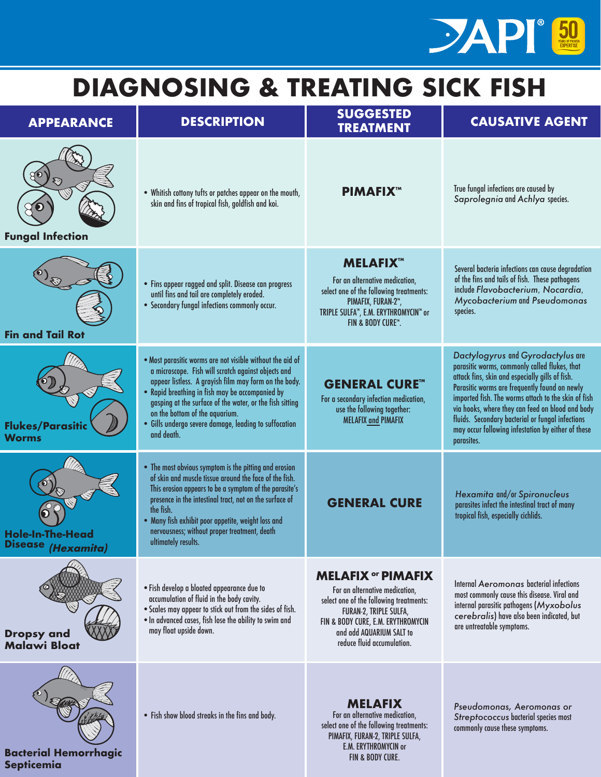

## **DIAGNOSING & TREATING SICK FISH**

| <b>APPEARANCE</b>                                 | <b>DESCRIPTION</b>                                                                                                                                                                                                                                                                                                                                                                                | <b>SUGGESTED</b><br><b>TREATMENT</b>                                                                                                                                                                                             | <b>CAUSATIVE AGENT</b>                                                                                                                                                                                                                                                                                                                                                                                                    |
|---------------------------------------------------|---------------------------------------------------------------------------------------------------------------------------------------------------------------------------------------------------------------------------------------------------------------------------------------------------------------------------------------------------------------------------------------------------|----------------------------------------------------------------------------------------------------------------------------------------------------------------------------------------------------------------------------------|---------------------------------------------------------------------------------------------------------------------------------------------------------------------------------------------------------------------------------------------------------------------------------------------------------------------------------------------------------------------------------------------------------------------------|
| <b>Fungal Infection</b>                           | . Whitish cottony tufts or patches appear on the mouth,<br>skin and fins of tropical fish, goldfish and koi.                                                                                                                                                                                                                                                                                      | <b>PIMAFIX™</b>                                                                                                                                                                                                                  | True fungal infections are caused by<br>Saprolegnia and Achlya species.                                                                                                                                                                                                                                                                                                                                                   |
| <b>Fin and Tail Rot</b>                           | . Fins appear ragged and split. Disease can progress<br>until fins and tail are completely eroded.<br>· Secondary fungal infections commonly occur.                                                                                                                                                                                                                                               | <b>MELAFIX™</b><br>For an alternative medication,<br>select one of the following treatments:<br>PIMAFIX, FURAN-2™,<br>TRIPLE SULFA™, E.M. ERYTHROMYCIN™ or<br>FIN & BODY CURE™.                                                  | Several bacteria infections can cause degradation<br>of the fins and tails of fish. These pathogens<br>include Flavobacterium, Nocardia,<br>Mycobacterium and Pseudomonas<br>species.                                                                                                                                                                                                                                     |
| <b>Flukes/Parasitic</b><br><b>Worms</b>           | . Most parasitic worms are not visible without the aid of<br>a microscope. Fish will scratch against objects and<br>appear listless. A grayish film may form on the body.<br>• Rapid breathing in fish may be accompanied by<br>gasping at the surface of the water, or the fish sitting<br>on the bottom of the aquarium.<br>· Gills undergo severe damage, leading to suffocation<br>and death. | <b>GENERAL CURE™</b><br>For a secondary infection medication,<br>use the following together:<br><b>MELAFIX and PIMAFIX</b>                                                                                                       | Dactylogyrus and Gyrodactylus are<br>parasitic worms, commonly called flukes, that<br>attack fins, skin and especially gills of fish.<br>Parasitic worms are frequently found on newly<br>imported fish. The worms attach to the skin of fish<br>via hooks, where they can feed on blood and body<br>fluids. Secondary bacterial or fungal infections<br>may occur following infestation by either of these<br>parasites. |
| <b>Hole-In-The-Head</b><br>Disease (Hexamita)     | • The most obvious symptom is the pitting and erosion<br>of skin and muscle tissue around the face of the fish.<br>This erosion appears to be a symptom of the parasite's<br>presence in the intestinal tract, not on the surface of<br>the fish.<br>. Many fish exhibit poor appetite, weight loss and<br>nervousness; without proper treatment, death<br>ultimately results.                    | <b>GENERAL CURE</b>                                                                                                                                                                                                              | Hexamita and/or Spironucleus<br>parasites infect the intestinal tract of many<br>tropical fish, especially cichlids.                                                                                                                                                                                                                                                                                                      |
| <b>Dropsy and</b><br><b>Malawi Bloat</b>          | . Fish develop a bloated appearance due to<br>accumulation of fluid in the body cavity.<br>. Scales may appear to stick out from the sides of fish.<br>. In advanced cases, fish lose the ability to swim and<br>may float upside down.                                                                                                                                                           | <b>MELAFIX or PIMAFIX</b><br>For an alternative medication,<br>select one of the following treatments:<br>FURAN-2, TRIPLE SULFA,<br>FIN & BODY CURE, E.M. ERYTHROMYCIN<br>and add AQUARIUM SALT to<br>reduce fluid accumulation. | Internal Aeromonas bacterial infections<br>most commonly cause this disease. Viral and<br>internal parasitic pathogens (Myxobolus<br>cerebralis) have also been indicated, but<br>are untreatable symptoms.                                                                                                                                                                                                               |
| <b>Bacterial Hemorrhagic</b><br><b>Septicemia</b> | . Fish show blood streaks in the fins and body.                                                                                                                                                                                                                                                                                                                                                   | <b>MELAFIX</b><br>For an alternative medication,<br>select one of the following treatments:<br>PIMAFIX, FURAN-2, TRIPLE SULFA,<br>E.M. ERYTHROMYCIN or<br>FIN & BODY CURE.                                                       | Pseudomonas, Aeromonas or<br>Streptococcus bacterial species most<br>commonly cause these symptoms.                                                                                                                                                                                                                                                                                                                       |